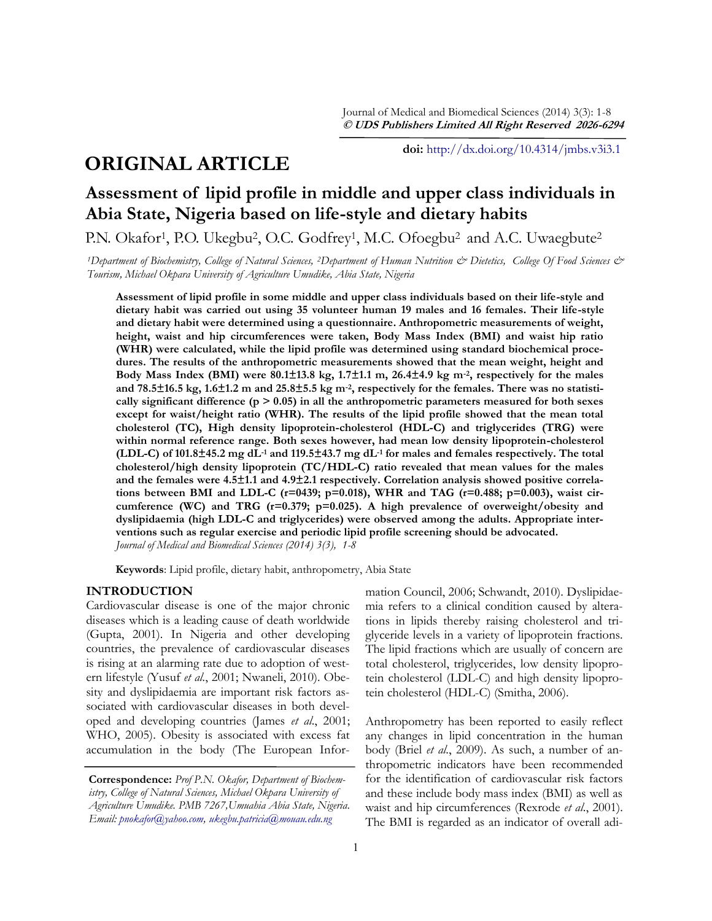# **ORIGINAL ARTICLE**

**doi:** [http://dx.doi.org/10.4314/jmbs.v3i3.1](http://dx.doi.org/10.4314/jmbs.v2i4.1)

# **Assessment of lipid profile in middle and upper class individuals in Abia State, Nigeria based on life-style and dietary habits**

P.N. Okafor<sup>1</sup>, P.O. Ukegbu<sup>2</sup>, O.C. Godfrey<sup>1</sup>, M.C. Ofoegbu<sup>2</sup> and A.C. Uwaegbute<sup>2</sup>

*<sup>1</sup>Department of Biochemistry, College of Natural Sciences, 2Department of Human Nutrition & Dietetics, College Of Food Sciences & Tourism, Michael Okpara University of Agriculture Umudike, Abia State, Nigeria*

**Assessment of lipid profile in some middle and upper class individuals based on their life-style and dietary habit was carried out using 35 volunteer human 19 males and 16 females. Their life-style and dietary habit were determined using a questionnaire. Anthropometric measurements of weight, height, waist and hip circumferences were taken, Body Mass Index (BMI) and waist hip ratio (WHR) were calculated, while the lipid profile was determined using standard biochemical procedures. The results of the anthropometric measurements showed that the mean weight, height and Body Mass Index (BMI) were 80.1±13.8 kg, 1.7±1.1 m, 26.4±4.9 kg m-2, respectively for the males and 78.5±16.5 kg, 1.6±1.2 m and 25.8±5.5 kg m-2, respectively for the females. There was no statistically significant difference (p > 0.05) in all the anthropometric parameters measured for both sexes except for waist/height ratio (WHR). The results of the lipid profile showed that the mean total cholesterol (TC), High density lipoprotein-cholesterol (HDL-C) and triglycerides (TRG) were within normal reference range. Both sexes however, had mean low density lipoprotein-cholesterol (LDL-C) of 101.8±45.2 mg dL-1 and 119.5±43.7 mg dL-1 for males and females respectively. The total cholesterol/high density lipoprotein (TC/HDL-C) ratio revealed that mean values for the males and the females were 4.5±1.1 and 4.9±2.1 respectively. Correlation analysis showed positive correlations between BMI and LDL-C (r=0439; p=0.018), WHR and TAG (r=0.488; p=0.003), waist circumference (WC) and TRG (r=0.379; p=0.025). A high prevalence of overweight/obesity and dyslipidaemia (high LDL-C and triglycerides) were observed among the adults. Appropriate interventions such as regular exercise and periodic lipid profile screening should be advocated.** *Journal of Medical and Biomedical Sciences (2014) 3(3), 1-8*

**Keywords**: Lipid profile, dietary habit, anthropometry, Abia State

## **INTRODUCTION**

Cardiovascular disease is one of the major chronic diseases which is a leading cause of death worldwide (Gupta, 2001). In Nigeria and other developing countries, the prevalence of cardiovascular diseases is rising at an alarming rate due to adoption of western lifestyle (Yusuf *et al.*, 2001; Nwaneli, 2010). Obesity and dyslipidaemia are important risk factors associated with cardiovascular diseases in both developed and developing countries (James *et al*., 2001; WHO, 2005). Obesity is associated with excess fat accumulation in the body (The European Information Council, 2006; Schwandt, 2010). Dyslipidaemia refers to a clinical condition caused by alterations in lipids thereby raising cholesterol and triglyceride levels in a variety of lipoprotein fractions. The lipid fractions which are usually of concern are total cholesterol, triglycerides, low density lipoprotein cholesterol (LDL-C) and high density lipoprotein cholesterol (HDL-C) (Smitha, 2006).

Anthropometry has been reported to easily reflect any changes in lipid concentration in the human body (Briel *et al*., 2009). As such, a number of anthropometric indicators have been recommended for the identification of cardiovascular risk factors and these include body mass index (BMI) as well as waist and hip circumferences (Rexrode *et al*., 2001). The BMI is regarded as an indicator of overall adi-

**Correspondence:** *Prof P.N. Okafor, Department of Biochemistry, College of Natural Sciences, Michael Okpara University of Agriculture Umudike. PMB 7267,Umuahia Abia State, Nigeria. Email: [pnokafor@yahoo.com,](mailto:pnokafor@yahoo.com) [ukegbu.patricia@mouau.edu.ng](mailto:ukegbu.patricia@mouau.edu.ng)*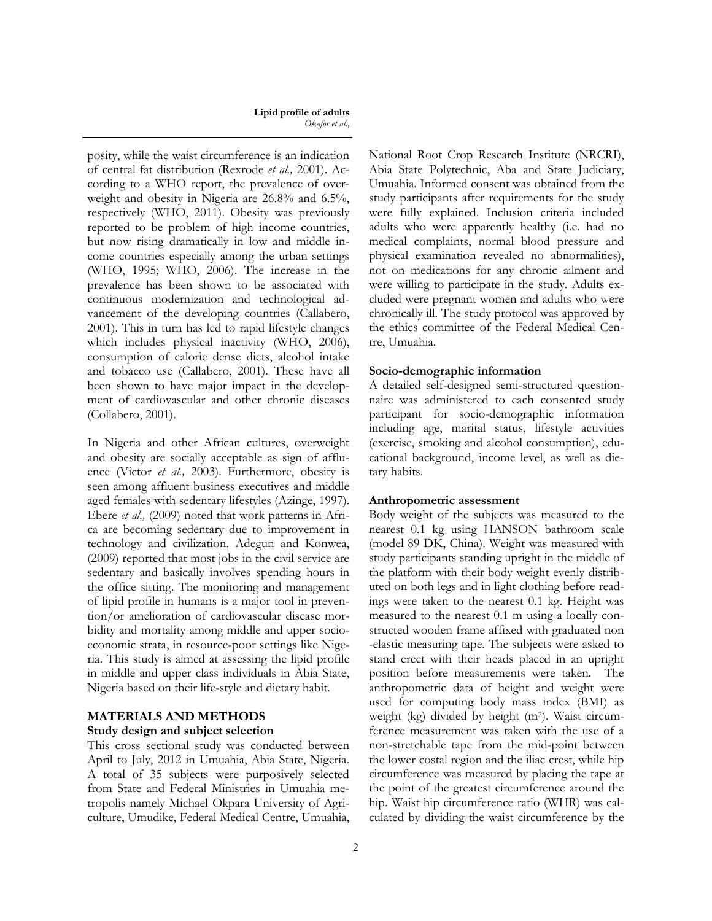posity, while the waist circumference is an indication of central fat distribution (Rexrode *et al.,* 2001). According to a WHO report, the prevalence of overweight and obesity in Nigeria are 26.8% and 6.5%, respectively (WHO, 2011). Obesity was previously reported to be problem of high income countries, but now rising dramatically in low and middle income countries especially among the urban settings (WHO, 1995; WHO, 2006). The increase in the prevalence has been shown to be associated with continuous modernization and technological advancement of the developing countries (Callabero, 2001). This in turn has led to rapid lifestyle changes which includes physical inactivity (WHO, 2006), consumption of calorie dense diets, alcohol intake and tobacco use (Callabero, 2001). These have all been shown to have major impact in the development of cardiovascular and other chronic diseases (Collabero, 2001).

In Nigeria and other African cultures, overweight and obesity are socially acceptable as sign of affluence (Victor *et al.,* 2003). Furthermore, obesity is seen among affluent business executives and middle aged females with sedentary lifestyles (Azinge, 1997). Ebere *et al.,* (2009) noted that work patterns in Africa are becoming sedentary due to improvement in technology and civilization. Adegun and Konwea, (2009) reported that most jobs in the civil service are sedentary and basically involves spending hours in the office sitting. The monitoring and management of lipid profile in humans is a major tool in prevention/or amelioration of cardiovascular disease morbidity and mortality among middle and upper socioeconomic strata, in resource-poor settings like Nigeria. This study is aimed at assessing the lipid profile in middle and upper class individuals in Abia State, Nigeria based on their life-style and dietary habit.

## **MATERIALS AND METHODS**

### **Study design and subject selection**

This cross sectional study was conducted between April to July, 2012 in Umuahia, Abia State, Nigeria. A total of 35 subjects were purposively selected from State and Federal Ministries in Umuahia metropolis namely Michael Okpara University of Agriculture, Umudike, Federal Medical Centre, Umuahia,

National Root Crop Research Institute (NRCRI), Abia State Polytechnic, Aba and State Judiciary, Umuahia. Informed consent was obtained from the study participants after requirements for the study were fully explained. Inclusion criteria included adults who were apparently healthy (i.e. had no medical complaints, normal blood pressure and physical examination revealed no abnormalities), not on medications for any chronic ailment and were willing to participate in the study. Adults excluded were pregnant women and adults who were chronically ill. The study protocol was approved by the ethics committee of the Federal Medical Centre, Umuahia.

### **Socio-demographic information**

A detailed self-designed semi-structured questionnaire was administered to each consented study participant for socio-demographic information including age, marital status, lifestyle activities (exercise, smoking and alcohol consumption), educational background, income level, as well as dietary habits.

#### **Anthropometric assessment**

Body weight of the subjects was measured to the nearest 0.1 kg using HANSON bathroom scale (model 89 DK, China). Weight was measured with study participants standing upright in the middle of the platform with their body weight evenly distributed on both legs and in light clothing before readings were taken to the nearest 0.1 kg. Height was measured to the nearest 0.1 m using a locally constructed wooden frame affixed with graduated non -elastic measuring tape. The subjects were asked to stand erect with their heads placed in an upright position before measurements were taken. The anthropometric data of height and weight were used for computing body mass index (BMI) as weight (kg) divided by height (m2). Waist circumference measurement was taken with the use of a non-stretchable tape from the mid-point between the lower costal region and the iliac crest, while hip circumference was measured by placing the tape at the point of the greatest circumference around the hip. Waist hip circumference ratio (WHR) was calculated by dividing the waist circumference by the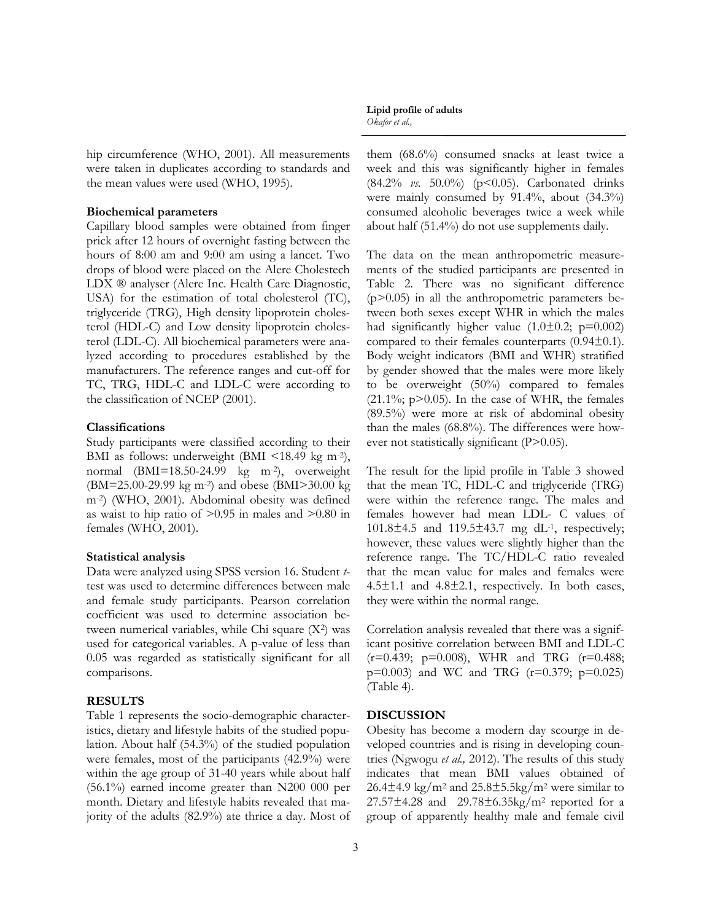hip circumference (WHO, 2001). All measurements were taken in duplicates according to standards and the mean values were used (WHO, 1995).

## **Biochemical parameters**

Capillary blood samples were obtained from finger prick after 12 hours of overnight fasting between the hours of 8:00 am and 9:00 am using a lancet. Two drops of blood were placed on the Alere Cholestech LDX ® analyser (Alere Inc. Health Care Diagnostic, USA) for the estimation of total cholesterol (TC), triglyceride (TRG), High density lipoprotein cholesterol (HDL-C) and Low density lipoprotein cholesterol (LDL-C). All biochemical parameters were analyzed according to procedures established by the manufacturers. The reference ranges and cut-off for TC, TRG, HDL-C and LDL-C were according to the classification of NCEP (2001).

## **Classifications**

Study participants were classified according to their BMI as follows: underweight (BMI <18.49 kg m<sup>-2</sup>), normal (BMI=18.50-24.99 kg m-2), overweight (BM=25.00-29.99 kg m-2) and obese (BMI>30.00 kg m-2) (WHO, 2001). Abdominal obesity was defined as waist to hip ratio of  $>0.95$  in males and  $>0.80$  in females (WHO, 2001).

#### **Statistical analysis**

Data were analyzed using SPSS version 16. Student *t*test was used to determine differences between male and female study participants. Pearson correlation coefficient was used to determine association between numerical variables, while Chi square (X2) was used for categorical variables. A p-value of less than 0.05 was regarded as statistically significant for all comparisons.

## **RESULTS**

Table 1 represents the socio-demographic characteristics, dietary and lifestyle habits of the studied population. About half (54.3%) of the studied population were females, most of the participants (42.9%) were within the age group of 31-40 years while about half (56.1%) earned income greater than N200 000 per month. Dietary and lifestyle habits revealed that majority of the adults (82.9%) ate thrice a day. Most of

#### **Lipid profile of adults** *Okafor et al.,*

them (68.6%) consumed snacks at least twice a week and this was significantly higher in females (84.2% *vs.* 50.0%) (p<0.05). Carbonated drinks were mainly consumed by 91.4%, about (34.3%) consumed alcoholic beverages twice a week while about half (51.4%) do not use supplements daily.

The data on the mean anthropometric measurements of the studied participants are presented in Table 2. There was no significant difference  $(p>0.05)$  in all the anthropometric parameters between both sexes except WHR in which the males had significantly higher value  $(1.0\pm0.2; \text{ p}=0.002)$ compared to their females counterparts (0.94±0.1). Body weight indicators (BMI and WHR) stratified by gender showed that the males were more likely to be overweight (50%) compared to females  $(21.1\%; p>0.05)$ . In the case of WHR, the females (89.5%) were more at risk of abdominal obesity than the males (68.8%). The differences were however not statistically significant (P>0.05).

The result for the lipid profile in Table 3 showed that the mean TC, HDL-C and triglyceride (TRG) were within the reference range. The males and females however had mean LDL- C values of 101.8±4.5 and 119.5±43.7 mg dL-1, respectively; however, these values were slightly higher than the reference range. The TC/HDL-C ratio revealed that the mean value for males and females were  $4.5\pm1.1$  and  $4.8\pm2.1$ , respectively. In both cases, they were within the normal range.

Correlation analysis revealed that there was a significant positive correlation between BMI and LDL-C (r=0.439; p=0.008), WHR and TRG (r=0.488;  $p=0.003$  and WC and TRG ( $r=0.379$ ;  $p=0.025$ ) (Table 4).

#### **DISCUSSION**

Obesity has become a modern day scourge in developed countries and is rising in developing countries (Ngwogu *et al.,* 2012). The results of this study indicates that mean BMI values obtained of  $26.4\pm4.9$  kg/m<sup>2</sup> and  $25.8\pm5.5$ kg/m<sup>2</sup> were similar to  $27.57\pm4.28$  and  $29.78\pm6.35$ kg/m<sup>2</sup> reported for a group of apparently healthy male and female civil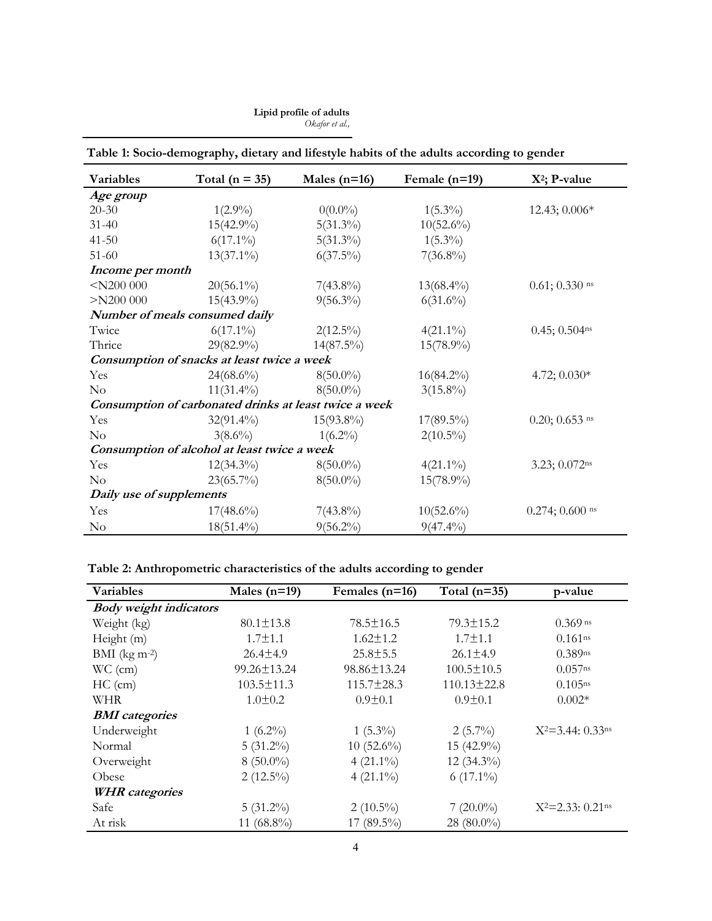| Variables                                              | Total ( $n = 35$ )                          | Males $(n=16)$ | Female $(n=19)$ | $X^2$ ; P-value             |  |  |
|--------------------------------------------------------|---------------------------------------------|----------------|-----------------|-----------------------------|--|--|
| Age group                                              |                                             |                |                 |                             |  |  |
| $20 - 30$                                              | $1(2.9\%)$                                  | $0(0.0\%)$     | $1(5.3\%)$      | 12.43; 0.006*               |  |  |
| $31 - 40$                                              | $15(42.9\%)$                                | $5(31.3\%)$    | $10(52.6\%)$    |                             |  |  |
| $41 - 50$                                              | $6(17.1\%)$                                 | $5(31.3\%)$    | $1(5.3\%)$      |                             |  |  |
| $51 - 60$                                              | $13(37.1\%)$                                | $6(37.5\%)$    | $7(36.8\%)$     |                             |  |  |
| Income per month                                       |                                             |                |                 |                             |  |  |
| $<$ N200 000                                           | $20(56.1\%)$                                | $7(43.8\%)$    | $13(68.4\%)$    | $0.61; 0.330$ ns            |  |  |
| $>$ N200 000                                           | $15(43.9\%)$                                | $9(56.3\%)$    | $6(31.6\%)$     |                             |  |  |
| Number of meals consumed daily                         |                                             |                |                 |                             |  |  |
| Twice                                                  | $6(17.1\%)$                                 | $2(12.5\%)$    | $4(21.1\%)$     | $0.45; 0.504$ ns            |  |  |
| Thrice                                                 | $29(82.9\%)$                                | $14(87.5\%)$   | $15(78.9\%)$    |                             |  |  |
|                                                        | Consumption of snacks at least twice a week |                |                 |                             |  |  |
| Yes                                                    | $24(68.6\%)$                                | $8(50.0\%)$    | $16(84.2\%)$    | 4.72; $0.030*$              |  |  |
| $\rm No$                                               | $11(31.4\%)$                                | $8(50.0\%)$    | $3(15.8\%)$     |                             |  |  |
| Consumption of carbonated drinks at least twice a week |                                             |                |                 |                             |  |  |
| Yes                                                    | $32(91.4\%)$                                | $15(93.8\%)$   | $17(89.5\%)$    | $0.20; 0.653$ <sup>ns</sup> |  |  |
| $\rm No$                                               | $3(8.6\%)$                                  | $1(6.2\%)$     | $2(10.5\%)$     |                             |  |  |
| Consumption of alcohol at least twice a week           |                                             |                |                 |                             |  |  |
| Yes                                                    | $12(34.3\%)$                                | $8(50.0\%)$    | $4(21.1\%)$     | 3.23; 0.072ns               |  |  |
| $\rm No$                                               | $23(65.7\%)$                                | $8(50.0\%)$    | $15(78.9\%)$    |                             |  |  |
| Daily use of supplements                               |                                             |                |                 |                             |  |  |
| Yes                                                    | $17(48.6\%)$                                | $7(43.8\%)$    | $10(52.6\%)$    | $0.274; 0.600$ ns           |  |  |
| $\rm No$                                               | $18(51.4\%)$                                | $9(56.2\%)$    | $9(47.4\%)$     |                             |  |  |

# **Table 1: Socio-demography, dietary and lifestyle habits of the adults according to gender**

**Table 2: Anthropometric characteristics of the adults according to gender**

| Variables                     | Males $(n=19)$   | Females $(n=16)$ | Total $(n=35)$    | p-value                           |
|-------------------------------|------------------|------------------|-------------------|-----------------------------------|
| <b>Body</b> weight indicators |                  |                  |                   |                                   |
| Weight (kg)                   | $80.1 \pm 13.8$  | $78.5 \pm 16.5$  | $79.3 \pm 15.2$   | $0.369$ ns                        |
| Height (m)                    | $1.7 \pm 1.1$    | $1.62 \pm 1.2$   | $1.7 \pm 1.1$     | $0.161$ <sup>ns</sup>             |
| BMI $(kg m-2)$                | $26.4 \pm 4.9$   | $25.8 \pm 5.5$   | $26.1 \pm 4.9$    | $0.389$ ns                        |
| $WC$ (cm)                     | 99.26±13.24      | 98.86±13.24      | $100.5 \pm 10.5$  | $0.057$ <sup>ns</sup>             |
| $HC$ (cm)                     | $103.5 \pm 11.3$ | $115.7 \pm 28.3$ | $110.13 \pm 22.8$ | $0.105$ ns                        |
| <b>WHR</b>                    | $1.0 \pm 0.2$    | $0.9 \pm 0.1$    | $0.9 \pm 0.1$     | $0.002*$                          |
| <b>BMI</b> categories         |                  |                  |                   |                                   |
| Underweight                   | $1(6.2\%)$       | $1(5.3\%)$       | $2(5.7\%)$        | $X^2 = 3.44$ ; 0.33ns             |
| Normal                        | $5(31.2\%)$      | $10(52.6\%)$     | 15 (42.9%)        |                                   |
| Overweight                    | $8(50.0\%)$      | $4(21.1\%)$      | $12(34.3\%)$      |                                   |
| Obese                         | $2(12.5\%)$      | $4(21.1\%)$      | $6(17.1\%)$       |                                   |
| <b>WHR</b> categories         |                  |                  |                   |                                   |
| Safe                          | $5(31.2\%)$      | $2(10.5\%)$      | $7(20.0\%)$       | $X^2 = 2.33$ : 0.21 <sup>ns</sup> |
| At risk                       | 11 $(68.8\%)$    | 17 (89.5%)       | 28 (80.0%)        |                                   |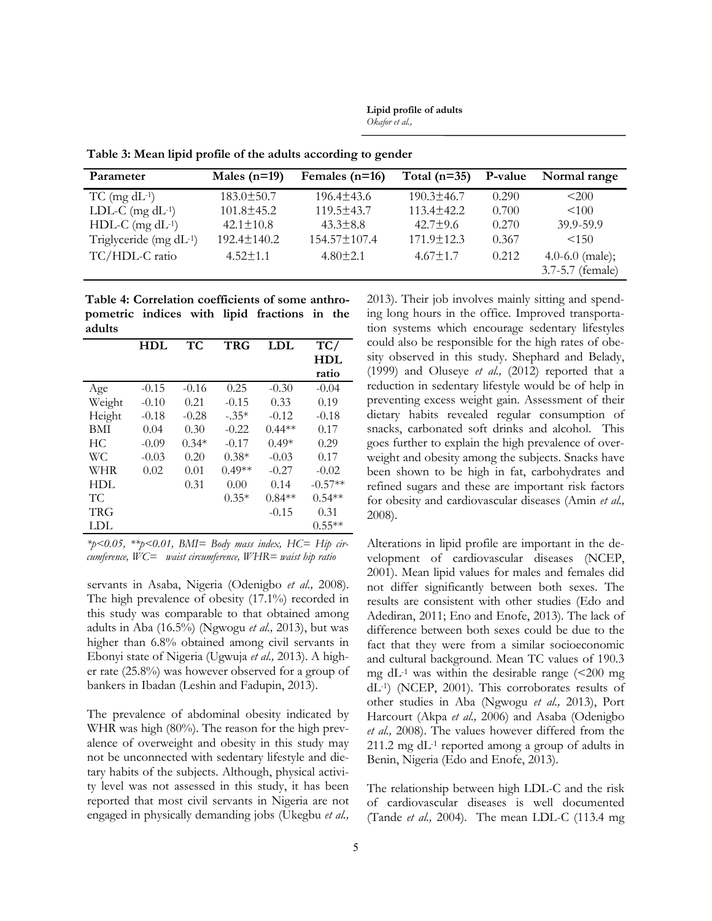**Lipid profile of adults** *Okafor et al.,*

| Parameter                    | Males $(n=19)$   | Females $(n=16)$   | Total $(n=35)$   | P-value | Normal range                        |
|------------------------------|------------------|--------------------|------------------|---------|-------------------------------------|
| $TC$ (mg $dL^{-1}$ )         | $183.0 \pm 50.7$ | $196.4 \pm 43.6$   | $190.3 \pm 46.7$ | 0.290   | < 200                               |
| LDL-C $(mg dL^{-1})$         | $101.8 \pm 45.2$ | $119.5 \pm 43.7$   | $113.4 \pm 42.2$ | 0.700   | < 100                               |
| $HDL-C$ (mg $dL^{-1}$ )      | $42.1 \pm 10.8$  | $43.3 \pm 8.8$     | $42.7 \pm 9.6$   | 0.270   | 39.9-59.9                           |
| Triglyceride (mg $dL^{-1}$ ) | 192.4±140.2      | $154.57 \pm 107.4$ | $171.9 \pm 12.3$ | 0.367   | < 150                               |
| TC/HDL-C ratio               | $4.52 \pm 1.1$   | $4.80 \pm 2.1$     | $4.67 \pm 1.7$   | 0.212   | 4.0-6.0 (male);<br>3.7-5.7 (female) |

**Table 3: Mean lipid profile of the adults according to gender**

**Table 4: Correlation coefficients of some anthropometric indices with lipid fractions in the adults**

|        | HDL     | TС      | <b>TRG</b> | <b>LDL</b> | TC/       |
|--------|---------|---------|------------|------------|-----------|
|        |         |         |            |            | HDL       |
|        |         |         |            |            | ratio     |
| Age    | $-0.15$ | $-0.16$ | 0.25       | $-0.30$    | $-0.04$   |
| Weight | $-0.10$ | 0.21    | $-0.15$    | 0.33       | 0.19      |
| Height | $-0.18$ | $-0.28$ | $-.35*$    | $-0.12$    | $-0.18$   |
| BMI    | 0.04    | 0.30    | $-0.22$    | $0.44**$   | 0.17      |
| HC.    | $-0.09$ | $0.34*$ | $-0.17$    | $0.49*$    | 0.29      |
| WС     | $-0.03$ | 0.20    | $0.38*$    | $-0.03$    | 0.17      |
| WHR    | 0.02    | 0.01    | $0.49**$   | $-0.27$    | $-0.02$   |
| HDL    |         | 0.31    | 0.00       | 0.14       | $-0.57**$ |
| TС     |         |         | $0.35*$    | $0.84**$   | $0.54**$  |
| TRG    |         |         |            | $-0.15$    | 0.31      |
| LDL    |         |         |            |            | $0.55**$  |

*\*p<0.05, \*\*p<0.01, BMI= Body mass index, HC= Hip circumference, WC= waist circumference, WHR= waist hip ratio*

servants in Asaba, Nigeria (Odenigbo *et al.,* 2008). The high prevalence of obesity (17.1%) recorded in this study was comparable to that obtained among adults in Aba (16.5%) (Ngwogu *et al.,* 2013), but was higher than 6.8% obtained among civil servants in Ebonyi state of Nigeria (Ugwuja *et al.,* 2013). A higher rate (25.8%) was however observed for a group of bankers in Ibadan (Leshin and Fadupin, 2013).

The prevalence of abdominal obesity indicated by WHR was high (80%). The reason for the high prevalence of overweight and obesity in this study may not be unconnected with sedentary lifestyle and dietary habits of the subjects. Although, physical activity level was not assessed in this study, it has been reported that most civil servants in Nigeria are not engaged in physically demanding jobs (Ukegbu *et al.,* 2013). Their job involves mainly sitting and spending long hours in the office. Improved transportation systems which encourage sedentary lifestyles could also be responsible for the high rates of obesity observed in this study. Shephard and Belady, (1999) and Oluseye *et al.,* (2012) reported that a reduction in sedentary lifestyle would be of help in preventing excess weight gain. Assessment of their dietary habits revealed regular consumption of snacks, carbonated soft drinks and alcohol. This goes further to explain the high prevalence of overweight and obesity among the subjects. Snacks have been shown to be high in fat, carbohydrates and refined sugars and these are important risk factors for obesity and cardiovascular diseases (Amin *et al.,* 2008).

Alterations in lipid profile are important in the development of cardiovascular diseases (NCEP, 2001). Mean lipid values for males and females did not differ significantly between both sexes. The results are consistent with other studies (Edo and Adediran, 2011; Eno and Enofe, 2013). The lack of difference between both sexes could be due to the fact that they were from a similar socioeconomic and cultural background. Mean TC values of 190.3 mg dL $^{-1}$  was within the desirable range ( $\leq$ 200 mg dL-1) (NCEP, 2001). This corroborates results of other studies in Aba (Ngwogu *et al.,* 2013), Port Harcourt (Akpa *et al.,* 2006) and Asaba (Odenigbo *et al.,* 2008). The values however differed from the 211.2 mg dL-1 reported among a group of adults in Benin, Nigeria (Edo and Enofe, 2013).

The relationship between high LDL-C and the risk of cardiovascular diseases is well documented (Tande *et al.,* 2004). The mean LDL-C (113.4 mg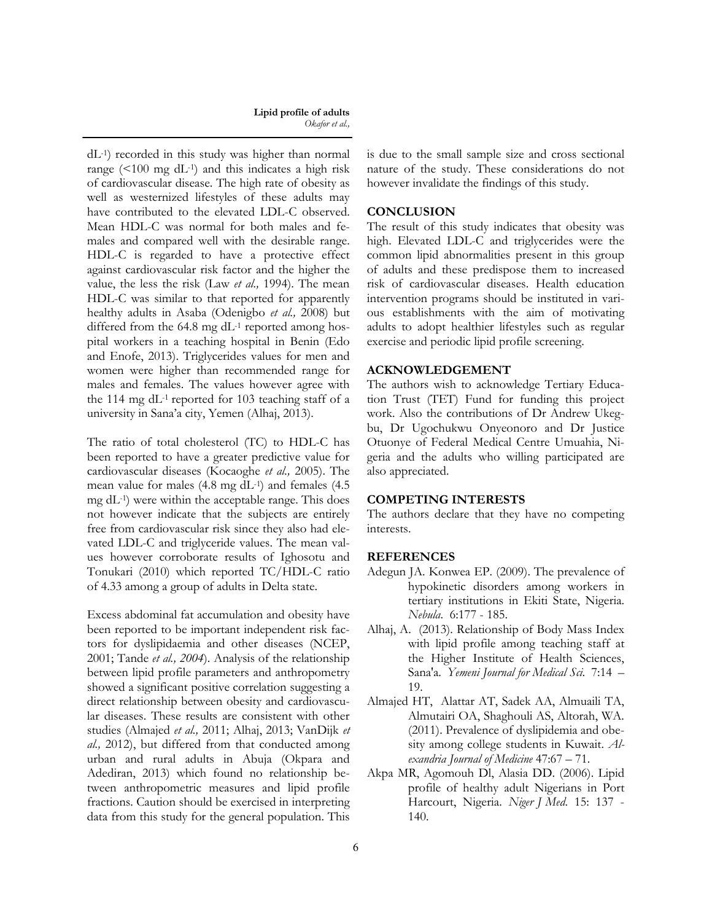dL-1) recorded in this study was higher than normal range  $(<100$  mg dL<sup>-1</sup>) and this indicates a high risk of cardiovascular disease. The high rate of obesity as well as westernized lifestyles of these adults may have contributed to the elevated LDL-C observed. Mean HDL-C was normal for both males and females and compared well with the desirable range. HDL-C is regarded to have a protective effect against cardiovascular risk factor and the higher the value, the less the risk (Law *et al.,* 1994). The mean HDL-C was similar to that reported for apparently healthy adults in Asaba (Odenigbo *et al.,* 2008) but differed from the  $64.8$  mg dL<sup>-1</sup> reported among hospital workers in a teaching hospital in Benin (Edo and Enofe, 2013). Triglycerides values for men and women were higher than recommended range for males and females. The values however agree with the 114 mg dL-1 reported for 103 teaching staff of a university in Sana"a city, Yemen (Alhaj, 2013).

The ratio of total cholesterol (TC) to HDL-C has been reported to have a greater predictive value for cardiovascular diseases (Kocaoghe *et al.,* 2005). The mean value for males (4.8 mg dL-1) and females (4.5 mg dL-1) were within the acceptable range. This does not however indicate that the subjects are entirely free from cardiovascular risk since they also had elevated LDL-C and triglyceride values. The mean values however corroborate results of Ighosotu and Tonukari (2010) which reported TC/HDL-C ratio of 4.33 among a group of adults in Delta state.

Excess abdominal fat accumulation and obesity have been reported to be important independent risk factors for dyslipidaemia and other diseases (NCEP, 2001; Tande *et al., 2004*). Analysis of the relationship between lipid profile parameters and anthropometry showed a significant positive correlation suggesting a direct relationship between obesity and cardiovascular diseases. These results are consistent with other studies (Almajed *et al.,* 2011; Alhaj, 2013; VanDijk *et al.,* 2012), but differed from that conducted among urban and rural adults in Abuja (Okpara and Adediran, 2013) which found no relationship between anthropometric measures and lipid profile fractions. Caution should be exercised in interpreting data from this study for the general population. This

is due to the small sample size and cross sectional nature of the study. These considerations do not however invalidate the findings of this study.

# **CONCLUSION**

The result of this study indicates that obesity was high. Elevated LDL-C and triglycerides were the common lipid abnormalities present in this group of adults and these predispose them to increased risk of cardiovascular diseases. Health education intervention programs should be instituted in various establishments with the aim of motivating adults to adopt healthier lifestyles such as regular exercise and periodic lipid profile screening.

## **ACKNOWLEDGEMENT**

The authors wish to acknowledge Tertiary Education Trust (TET) Fund for funding this project work. Also the contributions of Dr Andrew Ukegbu, Dr Ugochukwu Onyeonoro and Dr Justice Otuonye of Federal Medical Centre Umuahia, Nigeria and the adults who willing participated are also appreciated.

## **COMPETING INTERESTS**

The authors declare that they have no competing interests.

## **REFERENCES**

- Adegun JA. Konwea EP. (2009). The prevalence of hypokinetic disorders among workers in tertiary institutions in Ekiti State, Nigeria. *Nebula*. 6:177 - 185.
- Alhaj, A. (2013). Relationship of Body Mass Index with lipid profile among teaching staff at the Higher Institute of Health Sciences, Sana'a. *Yemeni Journal for Medical Sci.* 7:14 – 19.
- Almajed HT, Alattar AT, Sadek AA, Almuaili TA, Almutairi OA, Shaghouli AS, Altorah, WA. (2011). Prevalence of dyslipidemia and obesity among college students in Kuwait. *Alexandria Journal of Medicine* 47:67 – 71.
- Akpa MR, Agomouh Dl, Alasia DD. (2006). Lipid profile of healthy adult Nigerians in Port Harcourt, Nigeria. *Niger J Med*. 15: 137 - 140.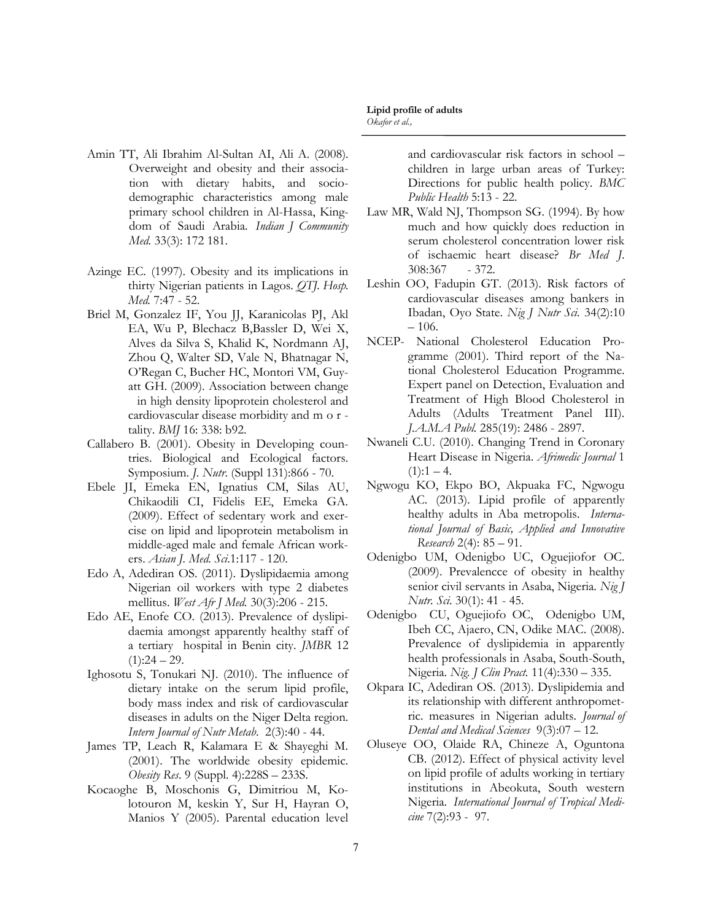Azinge EC. (1997). Obesity and its implications in thirty Nigerian patients in Lagos. *QTJ. Hosp. Med.* 7:47 - 52.

*Med.* 33(3): 172 181.

[Amin](http://www.ncbi.nlm.nih.gov/pubmed/?term=Amin%20TT%5Bauth%5D) TT, [Ali Ibrahim Al-Sultan](http://www.ncbi.nlm.nih.gov/pubmed/?term=Al-Sultan%20AI%5Bauth%5D) AI, [Ali](http://www.ncbi.nlm.nih.gov/pubmed/?term=Ali%20A%5Bauth%5D) A. (2008).

Overweight and obesity and their association with dietary habits, and sociodemographic characteristics among male primary school children in Al-Hassa, Kingdom of Saudi Arabia. *Indian J Community* 

- Briel M, Gonzalez IF, You JJ, Karanicolas PJ, Akl EA, Wu P, Blechacz B,Bassler D, Wei X, Alves da Silva S, Khalid K, Nordmann AJ, Zhou Q, Walter SD, Vale N, Bhatnagar N, O"Regan C, Bucher HC, Montori VM, Guyatt GH. (2009). Association between change in high density lipoprotein cholesterol and cardiovascular disease morbidity and m o r tality. *BMJ* 16: 338: b92.
- Callabero B. (2001). Obesity in Developing countries. Biological and Ecological factors. Symposium. *J. Nutr*. (Suppl 131):866 - 70.
- Ebele JI, Emeka EN, Ignatius CM, Silas AU, Chikaodili CI, Fidelis EE, Emeka GA. (2009). Effect of sedentary work and exercise on lipid and lipoprotein metabolism in middle-aged male and female African workers. *Asian J. Med. Sci*.1:117 - 120.
- Edo A, Adediran OS. (2011). Dyslipidaemia among Nigerian oil workers with type 2 diabetes mellitus. *West Afr J Med.* 30(3):206 - 215.
- Edo AE, Enofe CO. (2013). Prevalence of dyslipidaemia amongst apparently healthy staff of a tertiary hospital in Benin city. *JMBR* 12  $(1):24 - 29.$
- Ighosotu S, Tonukari NJ. (2010). The influence of dietary intake on the serum lipid profile, body mass index and risk of cardiovascular diseases in adults on the Niger Delta region. *Intern Journal of Nutr Metab*. 2(3):40 - 44.
- James TP, Leach R, Kalamara E & Shayeghi M. (2001). The worldwide obesity epidemic. *Obesity Res*. 9 (Suppl. 4):228S – 233S.
- Kocaoghe B, Moschonis G, Dimitriou M, Kolotouron M, keskin Y, Sur H, Hayran O, Manios Y (2005). Parental education level

and cardiovascular risk factors in school – children in large urban areas of Turkey: Directions for public health policy. *BMC Public Health* 5:13 - 22.

- Law MR, Wald NJ, Thompson SG. (1994). By how much and how quickly does reduction in serum cholesterol concentration lower risk of ischaemic heart disease? *Br Med J*. 308:367 - 372.
- Leshin OO, Fadupin GT. (2013). Risk factors of cardiovascular diseases among bankers in Ibadan, Oyo State. *Nig J Nutr Sci.* 34(2):10  $-106.$
- NCEP- National Cholesterol Education Programme (2001). Third report of the National Cholesterol Education Programme. Expert panel on Detection, Evaluation and Treatment of High Blood Cholesterol in Adults (Adults Treatment Panel III). *J.A.M.A Publ.* 285(19): 2486 - 2897.
- Nwaneli C.U. (2010). Changing Trend in Coronary Heart Disease in Nigeria. *Afrimedic Journal* 1  $(1):1 - 4.$
- Ngwogu KO, Ekpo BO, Akpuaka FC, Ngwogu AC. (2013). Lipid profile of apparently healthy adults in Aba metropolis. *International Journal of Basic, Applied and Innovative Research* 2(4): 85 – 91.
- Odenigbo UM, Odenigbo UC, Oguejiofor OC. (2009). Prevalencce of obesity in healthy senior civil servants in Asaba, Nigeria. *Nig J Nutr. Sci*. 30(1): 41 - 45.
- Odenigbo CU, Oguejiofo OC, Odenigbo UM, Ibeh CC, Ajaero, CN, Odike MAC. (2008). Prevalence of dyslipidemia in apparently health professionals in Asaba, South-South, Nigeria. *Nig. J Clin Pract.* 11(4):330 – 335.
- Okpara IC, Adediran OS. (2013). Dyslipidemia and its relationship with different anthropometric. measures in Nigerian adults. *Journal of Dental and Medical Sciences* 9(3):07 – 12.
- Oluseye OO, Olaide RA, Chineze A, Oguntona CB. (2012). Effect of physical activity level on lipid profile of adults working in tertiary institutions in Abeokuta, South western Nigeria. *International Journal of Tropical Medicine* 7(2):93 - 97.

#### **Lipid profile of adults** *Okafor et al.,*